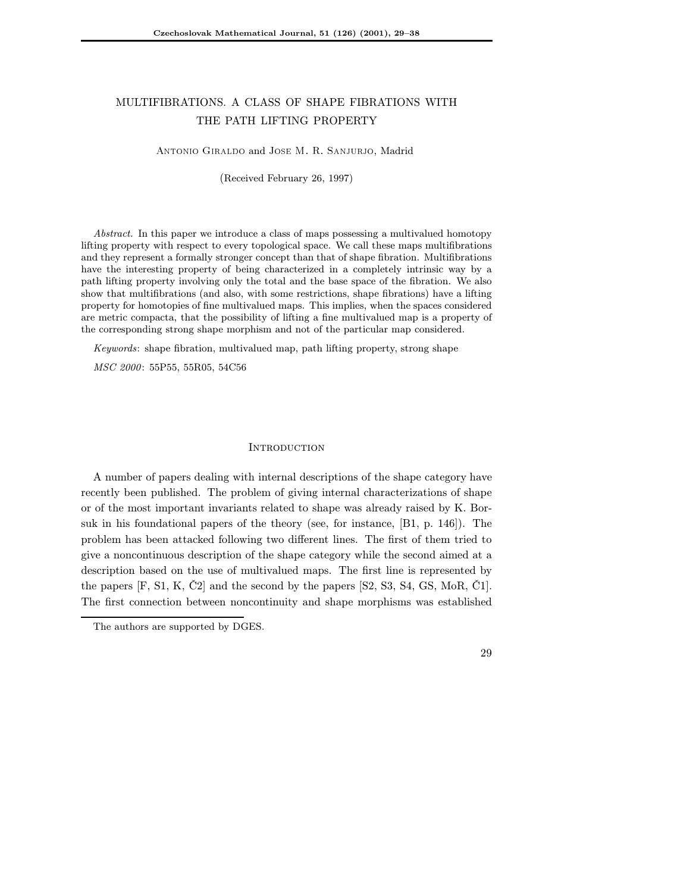# MULTIFIBRATIONS. A CLASS OF SHAPE FIBRATIONS WITH THE PATH LIFTING PROPERTY

Antonio Giraldo and Jose M. R. Sanjurjo, Madrid

(Received February 26, 1997)

Abstract. In this paper we introduce a class of maps possessinga multivalued homotopy lifting property with respect to every topological space. We call these maps multifibrations and they represent a formally stronger concept than that of shape fibration. Multifibrations have the interesting property of being characterized in a completely intrinsic way by a path lifting property involving only the total and the base space of the fibration. We also show that multifibrations (and also, with some restrictions, shape fibrations) have a lifting property for homotopies of fine multivalued maps. This implies, when the spaces considered are metric compacta, that the possibility of liftinga fine multivalued map is a property of the corresponding strong shape morphism and not of the particular map considered.

Keywords: shape fibration, multivalued map, path lifting property, strong shape MSC 2000: 55P55, 55R05, 54C56

## **INTRODUCTION**

A number of papers dealing with internal descriptions of the shape category have recently been published. The problem of giving internal characterizations of shape or of the most important invariants related to shape was already raised by K. Borsuk in his foundational papers of the theory (see, for instance, [B1, p. 146]). The problem has been attacked following two different lines. The first of them tried to give a noncontinuous description of the shape category while the second aimed at a description based on the use of multivalued maps. The first line is represented by the papers  $[F, S1, K, \check{C}2]$  and the second by the papers  $[S2, S3, S4, GS, MoR, \check{C}1]$ . The first connection between noncontinuity and shape morphisms was established

The authors are supported by DGES.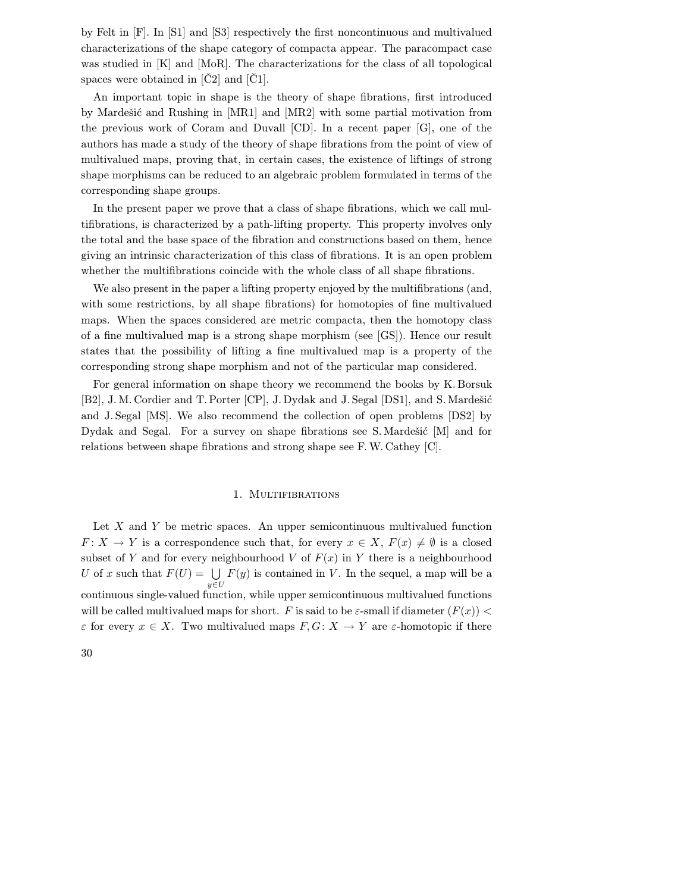by Felt in [F]. In [S1] and [S3] respectively the first noncontinuous and multivalued characterizations of the shape category of compacta appear. The paracompact case was studied in [K] and [MoR]. The characterizations for the class of all topological spaces were obtained in [Č2] and [Č1].

An important topic in shape is the theory of shape fibrations, first introduced by Mardešić and Rushing in [MR1] and [MR2] with some partial motivation from the previous work of Coram and Duvall  $[CD]$ . In a recent paper  $[G]$ , one of the authors has made a study of the theory of shape fibrations from the point of view of multivalued maps, proving that, in certain cases, the existence of liftings of strong shape morphisms can be reduced to an algebraic problem formulated in terms of the corresponding shape groups.

In the present paper we prove that a class of shape fibrations, which we call multifibrations, is characterized by a path-lifting property. This property involves only the total and the base space of the fibration and constructions based on them, hence giving an intrinsic characterization of this class of fibrations. It is an open problem whether the multifibrations coincide with the whole class of all shape fibrations.

We also present in the paper a lifting property enjoyed by the multifibrations (and, with some restrictions, by all shape fibrations) for homotopies of fine multivalued maps. When the spaces considered are metric compacta, then the homotopy class of a fine multivalued map is a strong shape morphism (see [GS]). Hence our result states that the possibility of lifting a fine multivalued map is a property of the corresponding strong shape morphism and not of the particular map considered.

For general information on shape theory we recommend the books by K. Borsuk [B2], J. M. Cordier and T. Porter [CP], J. Dydak and J. Segal [DS1], and S. Mardešić and J. Segal [MS]. We also recommend the collection of open problems [DS2] by Dydak and Segal. For a survey on shape fibrations see S. Mardešić  $[M]$  and for relations between shape fibrations and strong shape see F. W. Cathey [C].

#### 1. MULTIFIBRATIONS

Let  $X$  and  $Y$  be metric spaces. An upper semicontinuous multivalued function  $F: X \to Y$  is a correspondence such that, for every  $x \in X$ ,  $F(x) \neq \emptyset$  is a closed subset of Y and for every neighbourhood V of  $F(x)$  in Y there is a neighbourhood U of x such that  $F(U) = \bigcup F(y)$  is contained in V. In the sequel, a map will be a  $u \in U$ continuous single-valued function, while upper semicontinuous multivalued functions will be called multivalued maps for short. F is said to be  $\varepsilon$ -small if diameter  $(F(x))$  $\varepsilon$  for every  $x \in X$ . Two multivalued maps  $F, G: X \to Y$  are  $\varepsilon$ -homotopic if there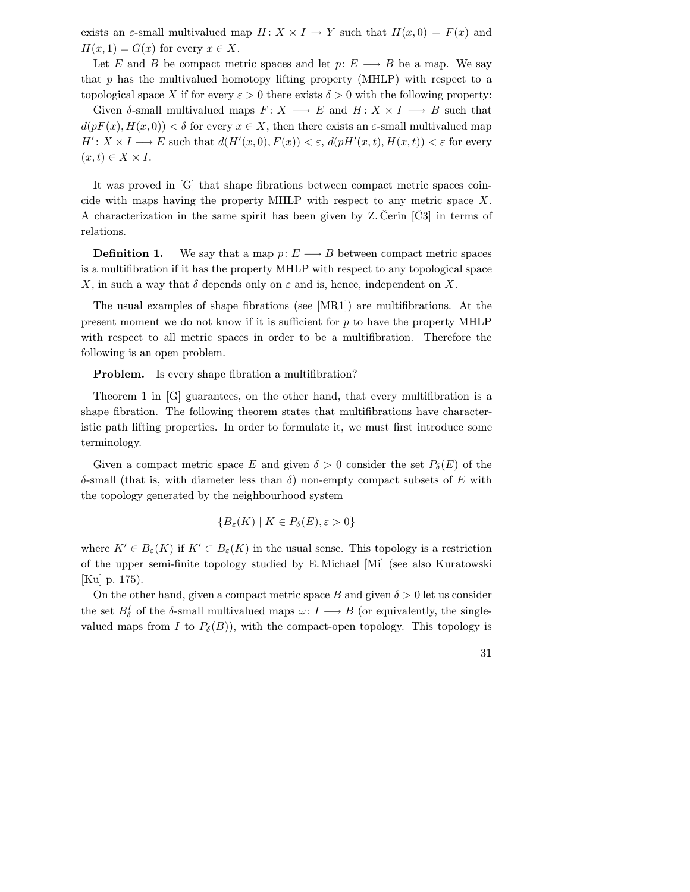exists an  $\varepsilon$ -small multivalued map  $H: X \times I \to Y$  such that  $H(x, 0) = F(x)$  and  $H(x, 1) = G(x)$  for every  $x \in X$ .

Let E and B be compact metric spaces and let  $p: E \longrightarrow B$  be a map. We say that p has the multivalued homotopy lifting property (MHLP) with respect to a topological space X if for every  $\varepsilon > 0$  there exists  $\delta > 0$  with the following property:

Given  $\delta$ -small multivalued maps  $F: X \longrightarrow E$  and  $H: X \times I \longrightarrow B$  such that  $d(pF(x), H(x, 0)) < \delta$  for every  $x \in X$ , then there exists an  $\varepsilon$ -small multivalued map  $H' : X \times I \longrightarrow E$  such that  $d(H'(x, 0), F(x)) < \varepsilon$ ,  $d(pH'(x, t), H(x, t)) < \varepsilon$  for every  $(x, t) \in X \times I$ .

It was proved in [G] that shape fibrations between compact metric spaces coincide with maps having the property MHLP with respect to any metric space  $X$ . A characterization in the same spirit has been given by Z. Čerin [Č3] in terms of relations.

**Definition 1.** We say that a map  $p: E \longrightarrow B$  between compact metric spaces is a multifibration if it has the property MHLP with respect to any topological space X, in such a way that  $\delta$  depends only on  $\varepsilon$  and is, hence, independent on X.

The usual examples of shape fibrations (see [MR1]) are multifibrations. At the present moment we do not know if it is sufficient for p to have the property MHLP with respect to all metric spaces in order to be a multifibration. Therefore the following is an open problem.

**Problem.** Is every shape fibration a multifibration?

Theorem 1 in [G] guarantees, on the other hand, that every multifibration is a shape fibration. The following theorem states that multifibrations have characteristic path lifting properties. In order to formulate it, we must first introduce some terminology.

Given a compact metric space E and given  $\delta > 0$  consider the set  $P_{\delta}(E)$  of the δ-small (that is, with diameter less than δ) non-empty compact subsets of E with the topology generated by the neighbourhood system

$$
\{B_{\varepsilon}(K) \mid K \in P_{\delta}(E), \varepsilon > 0\}
$$

where  $K' \in B_{\varepsilon}(K)$  if  $K' \subset B_{\varepsilon}(K)$  in the usual sense. This topology is a restriction of the upper semi-finite topology studied by E. Michael [Mi] (see also Kuratowski [Ku] p. 175).

On the other hand, given a compact metric space B and given  $\delta > 0$  let us consider the set  $B_{\delta}^{I}$  of the  $\delta$ -small multivalued maps  $\omega: I \longrightarrow B$  (or equivalently, the singlevalued maps from I to  $P_{\delta}(B)$ , with the compact-open topology. This topology is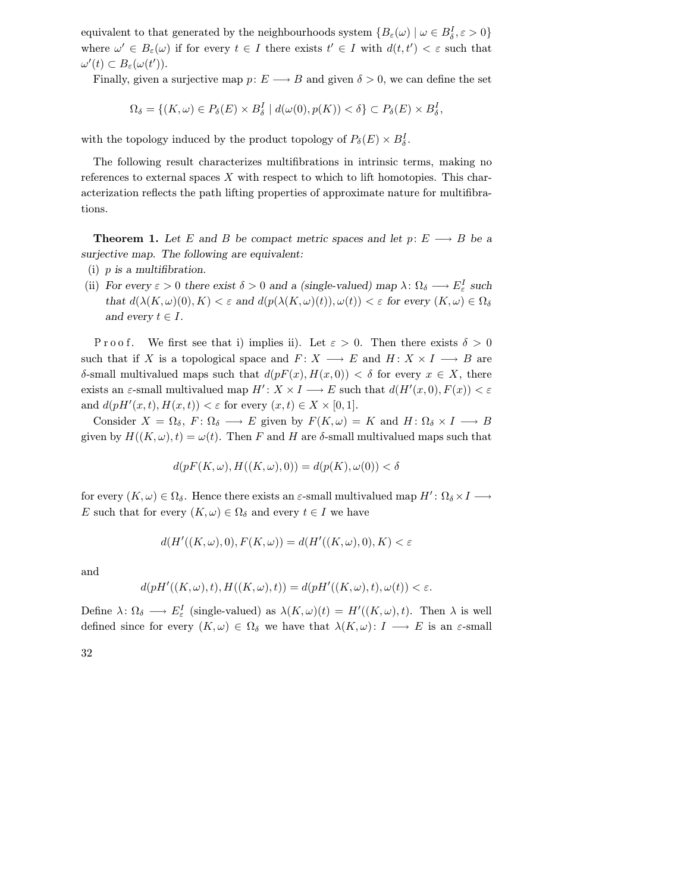equivalent to that generated by the neighbourhoods system  $\{B_\varepsilon(\omega) \mid \omega \in B_\delta^I, \varepsilon > 0\}$ where  $\omega' \in B_{\varepsilon}(\omega)$  if for every  $t \in I$  there exists  $t' \in I$  with  $d(t, t') < \varepsilon$  such that  $\omega'(t) \subset B_{\varepsilon}(\omega(t')).$ 

Finally, given a surjective map  $p: E \longrightarrow B$  and given  $\delta > 0$ , we can define the set

$$
\Omega_{\delta} = \{ (K, \omega) \in P_{\delta}(E) \times B_{\delta}^{I} \mid d(\omega(0), p(K)) < \delta \} \subset P_{\delta}(E) \times B_{\delta}^{I},
$$

with the topology induced by the product topology of  $P_\delta(E) \times B_\delta^I$ .

The following result characterizes multifibrations in intrinsic terms, making no references to external spaces  $X$  with respect to which to lift homotopies. This characterization reflects the path lifting properties of approximate nature for multifibrations.

**Theorem 1.** Let E and B be compact metric spaces and let  $p: E \longrightarrow B$  be a surjective map. The following are equivalent:

- (i)  $p$  is a multifibration.
- (ii) For every  $\varepsilon > 0$  there exist  $\delta > 0$  and a (single-valued) map  $\lambda: \Omega_{\delta} \longrightarrow E_{\varepsilon}^{I}$  such that  $d(\lambda(K, \omega)(0), K) < \varepsilon$  and  $d(p(\lambda(K, \omega)(t)), \omega(t)) < \varepsilon$  for every  $(K, \omega) \in \Omega_{\delta}$ and every  $t \in I$ .

Proof. We first see that i) implies ii). Let  $\varepsilon > 0$ . Then there exists  $\delta > 0$ such that if X is a topological space and  $F: X \longrightarrow E$  and  $H: X \times I \longrightarrow B$  are δ-small multivalued maps such that  $d(pF(x), H(x, 0)) < \delta$  for every  $x \in X$ , there exists an  $\varepsilon$ -small multivalued map  $H' : X \times I \longrightarrow E$  such that  $d(H'(x, 0), F(x)) < \varepsilon$ and  $d(pH'(x,t), H(x,t)) < \varepsilon$  for every  $(x,t) \in X \times [0,1].$ 

Consider  $X = \Omega_{\delta}$ ,  $F: \Omega_{\delta} \longrightarrow E$  given by  $F(K, \omega) = K$  and  $H: \Omega_{\delta} \times I \longrightarrow B$ given by  $H((K,\omega),t) = \omega(t)$ . Then F and H are  $\delta$ -small multivalued maps such that

$$
d(pF(K,\omega),H((K,\omega),0)) = d(p(K),\omega(0)) < \delta
$$

for every  $(K, \omega) \in \Omega_{\delta}$ . Hence there exists an  $\varepsilon$ -small multivalued map  $H' \colon \Omega_{\delta} \times I \longrightarrow$ E such that for every  $(K, \omega) \in \Omega_{\delta}$  and every  $t \in I$  we have

$$
d(H'((K,\omega),0), F(K,\omega)) = d(H'((K,\omega),0), K) < \varepsilon
$$

and

$$
d(pH'((K,\omega),t),H((K,\omega),t)) = d(pH'((K,\omega),t),\omega(t)) < \varepsilon.
$$

Define  $\lambda: \Omega_{\delta} \longrightarrow E_{\varepsilon}^{I}$  (single-valued) as  $\lambda(K, \omega)(t) = H'((K, \omega), t)$ . Then  $\lambda$  is well defined since for every  $(K, \omega) \in \Omega_{\delta}$  we have that  $\lambda(K, \omega): I \longrightarrow E$  is an  $\varepsilon$ -small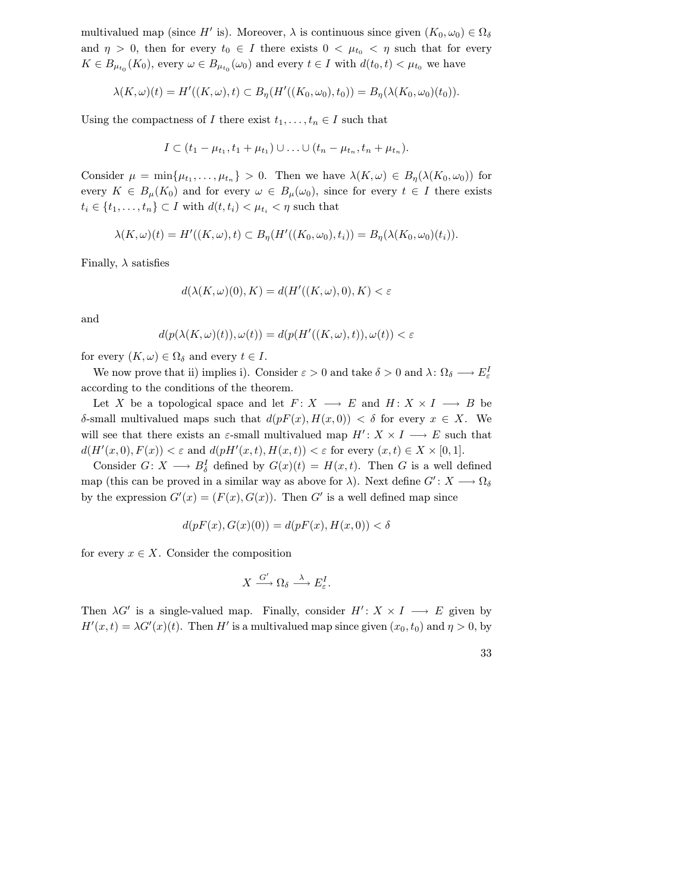multivalued map (since H' is). Moreover,  $\lambda$  is continuous since given  $(K_0, \omega_0) \in \Omega_{\delta}$ and  $\eta > 0$ , then for every  $t_0 \in I$  there exists  $0 < \mu_{t_0} < \eta$  such that for every  $K \in B_{\mu_{t_0}}(K_0)$ , every  $\omega \in B_{\mu_{t_0}}(\omega_0)$  and every  $t \in I$  with  $d(t_0, t) < \mu_{t_0}$  we have

$$
\lambda(K,\omega)(t) = H'((K,\omega),t) \subset B_{\eta}(H'((K_0,\omega_0),t_0)) = B_{\eta}(\lambda(K_0,\omega_0)(t_0)).
$$

Using the compactness of I there exist  $t_1,\ldots,t_n \in I$  such that

$$
I \subset (t_1 - \mu_{t_1}, t_1 + \mu_{t_1}) \cup \ldots \cup (t_n - \mu_{t_n}, t_n + \mu_{t_n}).
$$

Consider  $\mu = \min\{\mu_{t_1}, \ldots, \mu_{t_n}\} > 0$ . Then we have  $\lambda(K, \omega) \in B_n(\lambda(K_0, \omega_0))$  for every  $K \in B_{\mu}(K_0)$  and for every  $\omega \in B_{\mu}(\omega_0)$ , since for every  $t \in I$  there exists  $t_i \in \{t_1, \ldots, t_n\} \subset I$  with  $d(t, t_i) < \mu_{t_i} < \eta$  such that

$$
\lambda(K,\omega)(t) = H'((K,\omega),t) \subset B_{\eta}(H'((K_0,\omega_0),t_i)) = B_{\eta}(\lambda(K_0,\omega_0)(t_i)).
$$

Finally,  $\lambda$  satisfies

$$
d(\lambda(K,\omega)(0),K) = d(H'((K,\omega),0),K) < \varepsilon
$$

and

$$
d(p(\lambda(K,\omega)(t)),\omega(t)) = d(p(H'((K,\omega),t)),\omega(t)) < \varepsilon
$$

for every  $(K, \omega) \in \Omega_{\delta}$  and every  $t \in I$ .

We now prove that ii) implies i). Consider  $\varepsilon > 0$  and take  $\delta > 0$  and  $\lambda: \Omega_{\delta} \longrightarrow E_{\varepsilon}^{I}$ according to the conditions of the theorem.

Let X be a topological space and let  $F: X \longrightarrow E$  and  $H: X \times I \longrightarrow B$  be δ-small multivalued maps such that  $d(pF(x), H(x, 0)) < \delta$  for every  $x \in X$ . We will see that there exists an  $\varepsilon$ -small multivalued map  $H' : X \times I \longrightarrow E$  such that  $d(H'(x,0), F(x)) < \varepsilon$  and  $d(pH'(x,t), H(x,t)) < \varepsilon$  for every  $(x,t) \in X \times [0,1].$ 

Consider  $G: X \longrightarrow B_{\delta}^I$  defined by  $G(x)(t) = H(x, t)$ . Then G is a well defined map (this can be proved in a similar way as above for  $\lambda$ ). Next define  $G' : X \longrightarrow \Omega_{\delta}$ by the expression  $G'(x) = (F(x), G(x))$ . Then G' is a well defined map since

$$
d(pF(x), G(x)(0)) = d(pF(x), H(x, 0)) < \delta
$$

for every  $x \in X$ . Consider the composition

$$
X \xrightarrow{G'} \Omega_{\delta} \xrightarrow{\lambda} E_{\varepsilon}^{I}.
$$

Then  $\lambda G'$  is a single-valued map. Finally, consider  $H' : X \times I \longrightarrow E$  given by  $H'(x,t) = \lambda G'(x)(t)$ . Then H' is a multivalued map since given  $(x_0, t_0)$  and  $\eta > 0$ , by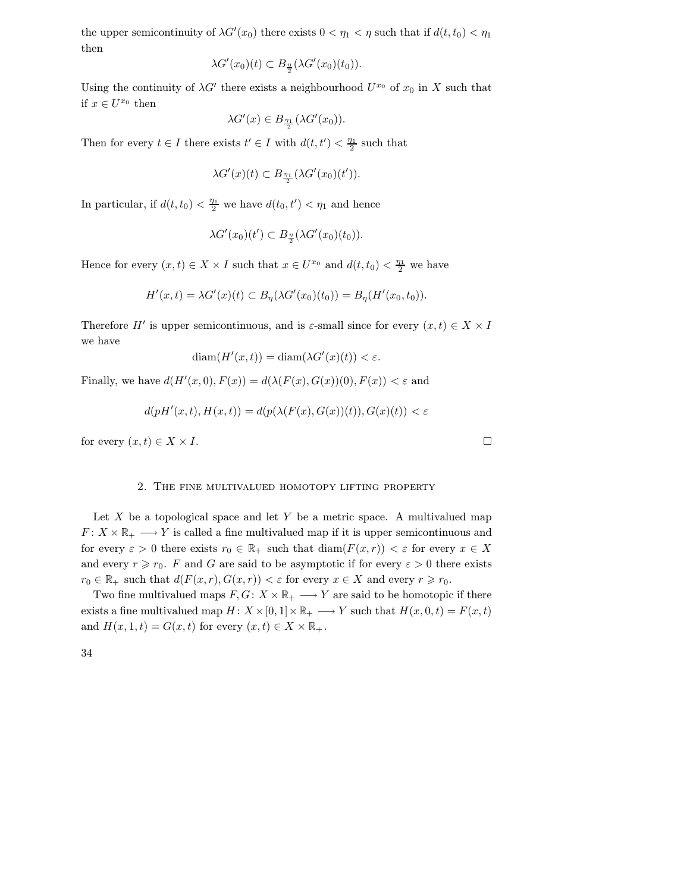the upper semicontinuity of  $\lambda G'(x_0)$  there exists  $0 < \eta_1 < \eta$  such that if  $d(t, t_0) < \eta_1$ then

$$
\lambda G'(x_0)(t) \subset B_{\frac{\eta}{2}}(\lambda G'(x_0)(t_0)).
$$

Using the continuity of  $\lambda G'$  there exists a neighbourhood  $U^{x_0}$  of  $x_0$  in X such that if  $x \in U^{x_0}$  then

$$
\lambda G'(x) \in B_{\frac{\eta_1}{2}}(\lambda G'(x_0)).
$$

Then for every  $t \in I$  there exists  $t' \in I$  with  $d(t, t') < \frac{\eta_1}{2}$  such that

$$
\lambda G'(x)(t) \subset B_{\frac{\eta_1}{2}}(\lambda G'(x_0)(t')).
$$

In particular, if  $d(t, t_0) < \frac{\eta_1}{2}$  we have  $d(t_0, t') < \eta_1$  and hence

$$
\lambda G'(x_0)(t') \subset B_{\frac{\eta}{2}}(\lambda G'(x_0)(t_0)).
$$

Hence for every  $(x,t) \in X \times I$  such that  $x \in U^{x_0}$  and  $d(t,t_0) < \frac{\eta_1}{2}$  we have

$$
H'(x,t) = \lambda G'(x)(t) \subset B_{\eta}(\lambda G'(x_0)(t_0)) = B_{\eta}(H'(x_0,t_0)).
$$

Therefore H<sup> $\prime$ </sup> is upper semicontinuous, and is  $\varepsilon$ -small since for every  $(x, t) \in X \times I$ we have

$$
\operatorname{diam}(H'(x,t)) = \operatorname{diam}(\lambda G'(x)(t)) < \varepsilon.
$$

Finally, we have  $d(H'(x,0), F(x)) = d(\lambda(F(x), G(x))(0), F(x)) < \varepsilon$  and

$$
d(pH'(x,t),H(x,t)) = d(p(\lambda(F(x),G(x))(t)),G(x)(t)) < \varepsilon
$$

for every  $(x, t) \in X \times I$ .

## 2. The fine multivalued homotopy lifting property

Let  $X$  be a topological space and let  $Y$  be a metric space. A multivalued map  $F: X \times \mathbb{R}_+ \longrightarrow Y$  is called a fine multivalued map if it is upper semicontinuous and for every  $\varepsilon > 0$  there exists  $r_0 \in \mathbb{R}_+$  such that  $\text{diam}(F(x,r)) < \varepsilon$  for every  $x \in X$ and every  $r \ge r_0$ . F and G are said to be asymptotic if for every  $\varepsilon > 0$  there exists  $r_0 \in \mathbb{R}_+$  such that  $d(F(x,r), G(x,r)) < \varepsilon$  for every  $x \in X$  and every  $r \ge r_0$ .

Two fine multivalued maps  $F, G: X \times \mathbb{R}_+ \longrightarrow Y$  are said to be homotopic if there exists a fine multivalued map  $H: X \times [0, 1] \times \mathbb{R}_+ \longrightarrow Y$  such that  $H(x, 0, t) = F(x, t)$ and  $H(x, 1, t) = G(x, t)$  for every  $(x, t) \in X \times \mathbb{R}_+$ .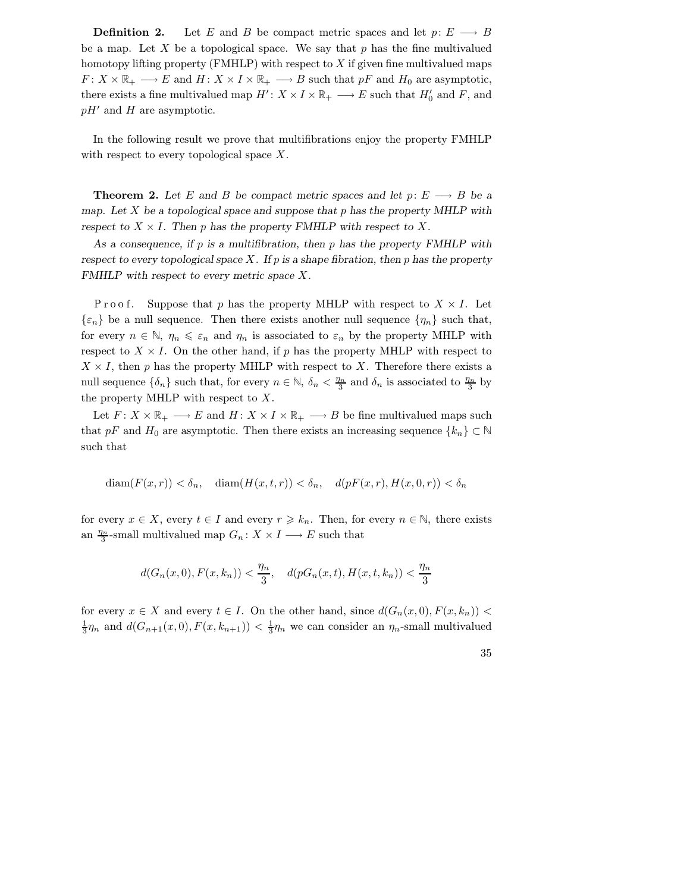**Definition 2.** Let E and B be compact metric spaces and let  $p: E \longrightarrow B$ be a map. Let X be a topological space. We say that  $p$  has the fine multivalued homotopy lifting property  $(FMHLP)$  with respect to X if given fine multivalued maps  $F: X \times \mathbb{R}_+ \longrightarrow E$  and  $H: X \times I \times \mathbb{R}_+ \longrightarrow B$  such that  $pF$  and  $H_0$  are asymptotic, there exists a fine multivalued map  $H' : X \times I \times \mathbb{R}_+ \longrightarrow E$  such that  $H'_0$  and F, and  $pH'$  and H are asymptotic.

In the following result we prove that multifibrations enjoy the property FMHLP with respect to every topological space  $X$ .

**Theorem 2.** Let E and B be compact metric spaces and let  $p: E \longrightarrow B$  be a map. Let X be a topological space and suppose that  $p$  has the property MHLP with respect to  $X \times I$ . Then p has the property FMHLP with respect to X.

As a consequence, if  $p$  is a multifibration, then  $p$  has the property FMHLP with respect to every topological space X. If  $p$  is a shape fibration, then  $p$  has the property FMHLP with respect to every metric space X.

Proof. Suppose that p has the property MHLP with respect to  $X \times I$ . Let  $\{\varepsilon_n\}$  be a null sequence. Then there exists another null sequence  $\{\eta_n\}$  such that, for every  $n \in \mathbb{N}$ ,  $\eta_n \leq \varepsilon_n$  and  $\eta_n$  is associated to  $\varepsilon_n$  by the property MHLP with respect to  $X \times I$ . On the other hand, if p has the property MHLP with respect to  $X \times I$ , then p has the property MHLP with respect to X. Therefore there exists a null sequence  $\{\delta_n\}$  such that, for every  $n \in \mathbb{N}$ ,  $\delta_n < \frac{\eta_n}{3}$  and  $\delta_n$  is associated to  $\frac{\eta_n}{3}$  by the property MHLP with respect to  $X$ .

Let  $F: X \times \mathbb{R}_+ \longrightarrow E$  and  $H: X \times I \times \mathbb{R}_+ \longrightarrow B$  be fine multivalued maps such that pF and  $H_0$  are asymptotic. Then there exists an increasing sequence  $\{k_n\} \subset \mathbb{N}$ such that

$$
\text{diam}(F(x,r)) < \delta_n, \quad \text{diam}(H(x,t,r)) < \delta_n, \quad d(pF(x,r), H(x,0,r)) < \delta_n
$$

for every  $x \in X$ , every  $t \in I$  and every  $r \geq k_n$ . Then, for every  $n \in \mathbb{N}$ , there exists an  $\frac{\eta_n}{3}$ -small multivalued map  $G_n: X \times I \longrightarrow E$  such that

$$
d(G_n(x,0), F(x, k_n)) < \frac{\eta_n}{3}, \quad d(pG_n(x,t), H(x,t, k_n)) < \frac{\eta_n}{3}
$$

for every  $x \in X$  and every  $t \in I$ . On the other hand, since  $d(G_n(x, 0), F(x, k_n))$  $\frac{1}{3}\eta_n$  and  $d(G_{n+1}(x,0), F(x, k_{n+1})) < \frac{1}{3}\eta_n$  we can consider an  $\eta_n$ -small multivalued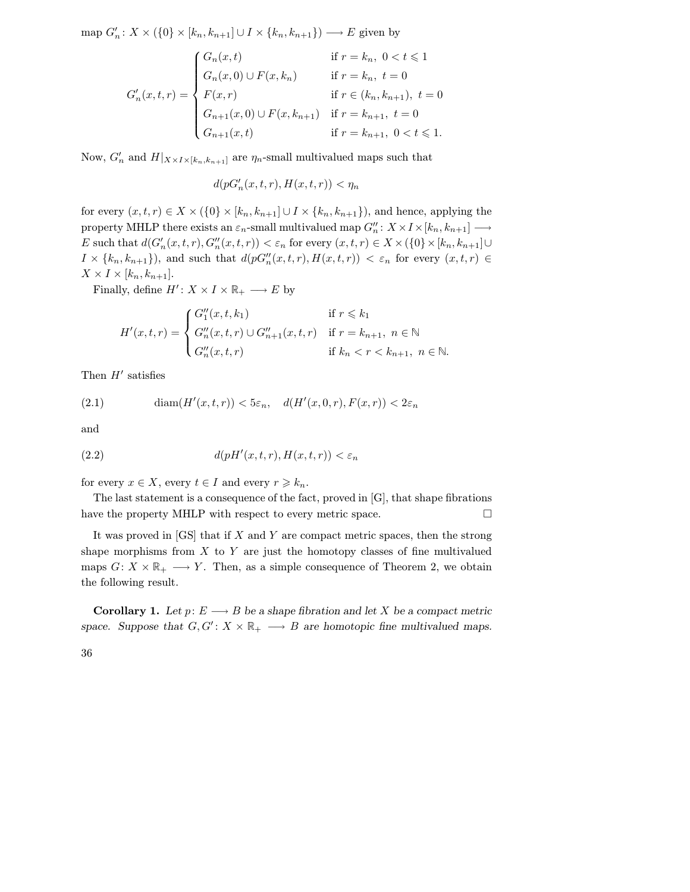map  $G'_n: X \times (\{0\} \times [k_n, k_{n+1}] \cup I \times \{k_n, k_{n+1}\}) \longrightarrow E$  given by

$$
G'_{n}(x,t,r) = \begin{cases} G_{n}(x,t) & \text{if } r = k_{n}, \ 0 < t \leq 1 \\ G_{n}(x,0) \cup F(x,k_{n}) & \text{if } r = k_{n}, \ t = 0 \\ F(x,r) & \text{if } r \in (k_{n},k_{n+1}), \ t = 0 \\ G_{n+1}(x,0) \cup F(x,k_{n+1}) & \text{if } r = k_{n+1}, \ t = 0 \\ G_{n+1}(x,t) & \text{if } r = k_{n+1}, \ 0 < t \leq 1. \end{cases}
$$

Now,  $G'_n$  and  $H|_{X \times I \times [k_n, k_{n+1}]}$  are  $\eta_n$ -small multivalued maps such that

$$
d(pG'_n(x,t,r),H(x,t,r)) < \eta_n
$$

for every  $(x, t, r) \in X \times (\{0\} \times [k_n, k_{n+1}] \cup I \times \{k_n, k_{n+1}\})$ , and hence, applying the property MHLP there exists an  $\varepsilon_n$ -small multivalued map  $G_n''$ :  $X \times I \times [k_n, k_{n+1}] \longrightarrow$ E such that  $d(G'_n(x,t,r), G''_n(x,t,r)) < \varepsilon_n$  for every  $(x,t,r) \in X \times (\{0\} \times [k_n, k_{n+1}] \cup$  $I \times \{k_n, k_{n+1}\}\)$ , and such that  $d(pG''_n(x,t,r), H(x,t,r)) < \varepsilon_n$  for every  $(x,t,r) \in$  $X \times I \times [k_n, k_{n+1}].$ 

Finally, define  $H' : X \times I \times \mathbb{R}_+ \longrightarrow E$  by

$$
H'(x,t,r) = \begin{cases} G''_1(x,t,k_1) & \text{if } r \leq k_1 \\ G''_n(x,t,r) \cup G''_{n+1}(x,t,r) & \text{if } r = k_{n+1}, n \in \mathbb{N} \\ G''_n(x,t,r) & \text{if } k_n < r < k_{n+1}, n \in \mathbb{N}. \end{cases}
$$

Then  $H'$  satisfies

(2.1) 
$$
\text{diam}(H'(x,t,r)) < 5\varepsilon_n, \quad d(H'(x,0,r), F(x,r)) < 2\varepsilon_n
$$

and

$$
(2.2) \t d(pH'(x,t,r),H(x,t,r)) < \varepsilon_n
$$

for every  $x \in X$ , every  $t \in I$  and every  $r \geq k_n$ .

The last statement is a consequence of the fact, proved in [G], that shape fibrations have the property MHLP with respect to every metric space.

It was proved in  $[GS]$  that if X and Y are compact metric spaces, then the strong shape morphisms from  $X$  to  $Y$  are just the homotopy classes of fine multivalued maps  $G: X \times \mathbb{R}_+ \longrightarrow Y$ . Then, as a simple consequence of Theorem 2, we obtain the following result.

**Corollary 1.** Let  $p: E \longrightarrow B$  be a shape fibration and let X be a compact metric space. Suppose that  $G, G' : X \times \mathbb{R}_+ \longrightarrow B$  are homotopic fine multivalued maps.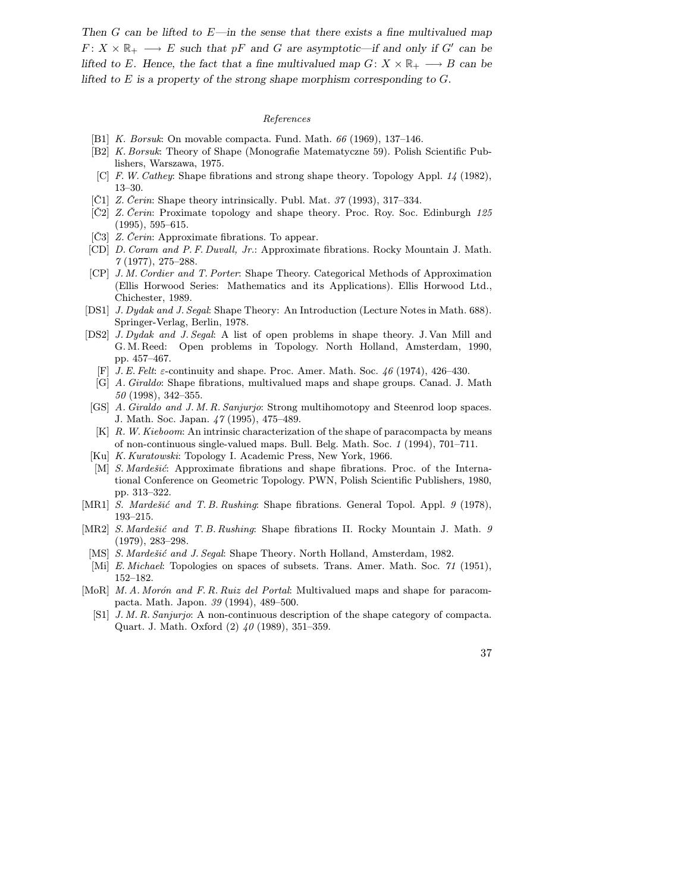Then  $G$  can be lifted to  $E$ —in the sense that there exists a fine multivalued map  $F: X \times \mathbb{R}_+ \longrightarrow E$  such that pF and G are asymptotic—if and only if G' can be lifted to E. Hence, the fact that a fine multivalued map  $G: X \times \mathbb{R}_+ \longrightarrow B$  can be lifted to E is a property of the strong shape morphism corresponding to  $G$ .

# References

- [B1] K. Borsuk: On movable compacta. Fund. Math. 66 (1969), 137–146.
- [B2] K. Borsuk: Theory of Shape (Monografie Matematyczne 59). Polish Scientific Publishers, Warszawa, 1975.
- [C] F. W. Cathey: Shape fibrations and strong shape theory. Topology Appl. 14 (1982), 13–30.
- $[\tilde{C}1]$  Z. Čerin: Shape theory intrinsically. Publ. Mat. 37 (1993), 317–334.
- [Č2] Z . Čerin: Proximate topology and shape theory. Proc. Roy. Soc. Edinburgh 125 (1995), 595–615.
- [C3] Z. Cerin: Approximate fibrations. To appear.
- [CD] D. Coram and P. F. Duvall, Jr.: Approximate fibrations. Rocky Mountain J. Math. 7 (1977), 275–288.
- [CP] J. M. Cordier and T. Porter: Shape Theory. Categorical Methods of Approximation (Ellis Horwood Series: Mathematics and its Applications). Ellis Horwood Ltd., Chichester, 1989.
- [DS1] J. Dydak and J. Segal: Shape Theory: An Introduction (Lecture Notes in Math. 688). Springer-Verlag, Berlin, 1978.
- [DS2] J. Dydak and J. Segal: A list of open problems in shape theory. J. Van Mill and G. M. Reed: Open problems in Topology. North Holland, Amsterdam, 1990, pp. 457–467.
	- [F] J. E. Felt: ε-continuity and shape. Proc. Amer. Math. Soc. 46 (1974), 426–430.
	- [G] A. Giraldo: Shape fibrations, multivalued maps and shape groups. Canad. J. Math 50 (1998), 342–355.
- [GS] A. Giraldo and J. M. R. Sanjurjo: Strong multihomotopy and Steenrod loop spaces. J. Math. Soc. Japan. 47 (1995), 475–489.
- [K] R. W. Kieboom: An intrinsic characterization of the shape of paracompacta by means of non-continuous single-valued maps. Bull. Belg. Math. Soc. 1 (1994), 701–711.
- [Ku] K. Kuratowski: Topology I. Academic Press, New York, 1966.
- [M] S. Mardešić: Approximate fibrations and shape fibrations. Proc. of the International Conference on Geometric Topology. PWN, Polish Scientific Publishers, 1980, pp. 313–322.
- [MR1] S. Mardešić and T. B. Rushing: Shape fibrations. General Topol. Appl. 9 (1978), 193–215.
- [MR2] S. Mardešić and T. B. Rushing: Shape fibrations II. Rocky Mountain J. Math. 9 (1979), 283–298.
	- [MS] S. Mardešić and J. Segal: Shape Theory. North Holland, Amsterdam, 1982.
	- [Mi] E. Michael: Topologies on spaces of subsets. Trans. Amer. Math. Soc. 71 (1951), 152–182.
- [MoR] M. A. Morón and F. R. Ruiz del Portal: Multivalued maps and shape for paracompacta. Math. Japon. 39 (1994), 489–500.
	- [S1] J. M. R. Sanjurjo: A non-continuous description of the shape category of compacta. Quart. J. Math. Oxford (2) 40 (1989), 351–359.